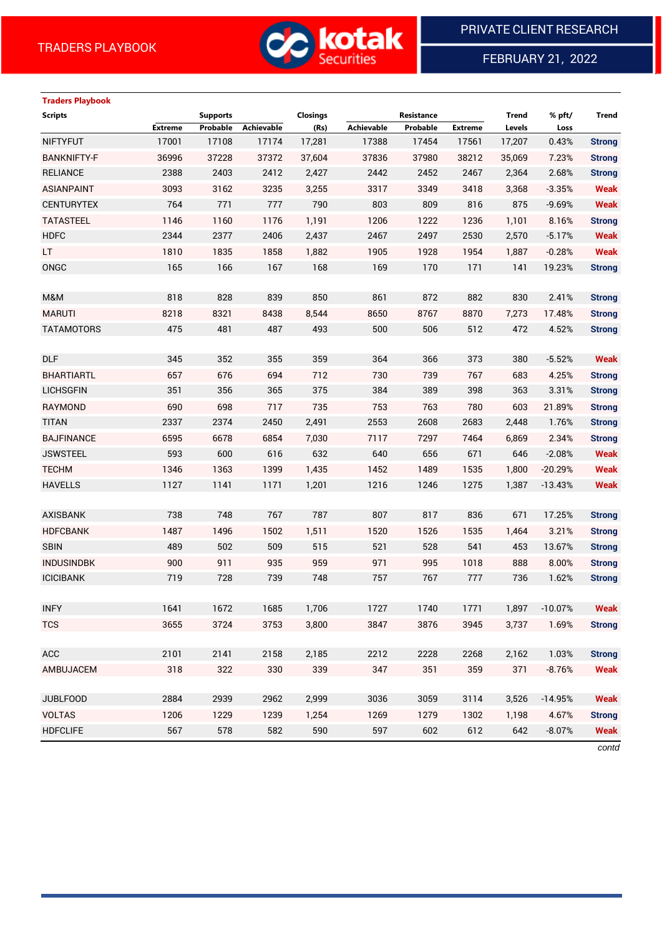

FEBRUARY 21, 2022

# **Traders Playbook**

| <b>Scripts</b>              | <b>Supports</b> |                   | <b>Closings</b> |            | Resistance |                | <b>Trend</b> | % pft/    | <b>Trend</b>  |
|-----------------------------|-----------------|-------------------|-----------------|------------|------------|----------------|--------------|-----------|---------------|
| <b>Extreme</b>              | Probable        | <b>Achievable</b> | (Rs)            | Achievable | Probable   | <b>Extreme</b> | Levels       | Loss      |               |
| 17001<br><b>NIFTYFUT</b>    | 17108           | 17174             | 17,281          | 17388      | 17454      | 17561          | 17,207       | 0.43%     | <b>Strong</b> |
| <b>BANKNIFTY-F</b><br>36996 | 37228           | 37372             | 37,604          | 37836      | 37980      | 38212          | 35,069       | 7.23%     | <b>Strong</b> |
| <b>RELIANCE</b><br>2388     | 2403            | 2412              | 2,427           | 2442       | 2452       | 2467           | 2,364        | 2.68%     | <b>Strong</b> |
| <b>ASIANPAINT</b><br>3093   | 3162            | 3235              | 3,255           | 3317       | 3349       | 3418           | 3,368        | $-3.35%$  | <b>Weak</b>   |
| 764<br><b>CENTURYTEX</b>    | 771             | 777               | 790             | 803        | 809        | 816            | 875          | $-9.69%$  | <b>Weak</b>   |
| <b>TATASTEEL</b><br>1146    | 1160            | 1176              | 1,191           | 1206       | 1222       | 1236           | 1,101        | 8.16%     | <b>Strong</b> |
| <b>HDFC</b><br>2344         | 2377            | 2406              | 2,437           | 2467       | 2497       | 2530           | 2,570        | $-5.17%$  | <b>Weak</b>   |
| 1810<br>LT.                 | 1835            | 1858              | 1,882           | 1905       | 1928       | 1954           | 1,887        | $-0.28%$  | <b>Weak</b>   |
| ONGC<br>165                 | 166             | 167               | 168             | 169        | 170        | 171            | 141          | 19.23%    | <b>Strong</b> |
|                             |                 |                   |                 |            |            |                |              |           |               |
| 818<br>M&M                  | 828             | 839               | 850             | 861        | 872        | 882            | 830          | 2.41%     | <b>Strong</b> |
| <b>MARUTI</b><br>8218       | 8321            | 8438              | 8,544           | 8650       | 8767       | 8870           | 7,273        | 17.48%    | <b>Strong</b> |
| 475<br><b>TATAMOTORS</b>    | 481             | 487               | 493             | 500        | 506        | 512            | 472          | 4.52%     | <b>Strong</b> |
|                             |                 |                   |                 |            |            |                |              |           |               |
| 345<br><b>DLF</b>           | 352             | 355               | 359             | 364        | 366        | 373            | 380          | $-5.52%$  | <b>Weak</b>   |
| 657<br><b>BHARTIARTL</b>    | 676             | 694               | 712             | 730        | 739        | 767            | 683          | 4.25%     | <b>Strong</b> |
| 351<br><b>LICHSGFIN</b>     | 356             | 365               | 375             | 384        | 389        | 398            | 363          | 3.31%     | <b>Strong</b> |
| <b>RAYMOND</b><br>690       | 698             | 717               | 735             | 753        | 763        | 780            | 603          | 21.89%    | <b>Strong</b> |
| <b>TITAN</b><br>2337        | 2374            | 2450              | 2,491           | 2553       | 2608       | 2683           | 2,448        | 1.76%     | <b>Strong</b> |
| <b>BAJFINANCE</b><br>6595   | 6678            | 6854              | 7,030           | 7117       | 7297       | 7464           | 6,869        | 2.34%     | <b>Strong</b> |
| 593<br><b>JSWSTEEL</b>      | 600             | 616               | 632             | 640        | 656        | 671            | 646          | $-2.08%$  | <b>Weak</b>   |
| <b>TECHM</b><br>1346        | 1363            | 1399              | 1,435           | 1452       | 1489       | 1535           | 1,800        | $-20.29%$ | <b>Weak</b>   |
| 1127<br><b>HAVELLS</b>      | 1141            | 1171              | 1,201           | 1216       | 1246       | 1275           | 1,387        | $-13.43%$ | <b>Weak</b>   |
|                             |                 |                   |                 |            |            |                |              |           |               |
| 738<br><b>AXISBANK</b>      | 748             | 767               | 787             | 807        | 817        | 836            | 671          | 17.25%    | <b>Strong</b> |
| <b>HDFCBANK</b><br>1487     | 1496            | 1502              | 1,511           | 1520       | 1526       | 1535           | 1,464        | 3.21%     | <b>Strong</b> |
| <b>SBIN</b><br>489          | 502             | 509               | 515             | 521        | 528        | 541            | 453          | 13.67%    | <b>Strong</b> |
| 900<br><b>INDUSINDBK</b>    | 911             | 935               | 959             | 971        | 995        | 1018           | 888          | 8.00%     | <b>Strong</b> |
| 719<br><b>ICICIBANK</b>     | 728             | 739               | 748             | 757        | 767        | 777            | 736          | 1.62%     | <b>Strong</b> |
|                             |                 |                   |                 |            |            |                |              |           |               |
| <b>INFY</b><br>1641         | 1672            | 1685              | 1,706           | 1727       | 1740       | 1771           | 1,897        | $-10.07%$ | Weak          |
| <b>TCS</b><br>3655          | 3724            | 3753              | 3,800           | 3847       | 3876       | 3945           | 3,737        | 1.69%     | <b>Strong</b> |
|                             |                 |                   |                 |            |            |                |              |           |               |
| <b>ACC</b><br>2101          | 2141            | 2158              | 2,185           | 2212       | 2228       | 2268           | 2,162        | 1.03%     | <b>Strong</b> |
| AMBUJACEM<br>318            | 322             | 330               | 339             | 347        | 351        | 359            | 371          | $-8.76%$  | <b>Weak</b>   |
|                             |                 |                   |                 |            |            |                |              |           |               |
| <b>JUBLFOOD</b><br>2884     | 2939            | 2962              | 2,999           | 3036       | 3059       | 3114           | 3,526        | $-14.95%$ | <b>Weak</b>   |
| <b>VOLTAS</b><br>1206       | 1229            | 1239              | 1,254           | 1269       | 1279       | 1302           | 1,198        | 4.67%     | <b>Strong</b> |
| 567<br><b>HDFCLIFE</b>      | 578             | 582               | 590             | 597        | 602        | 612            | 642          | $-8.07%$  | <b>Weak</b>   |

*contd*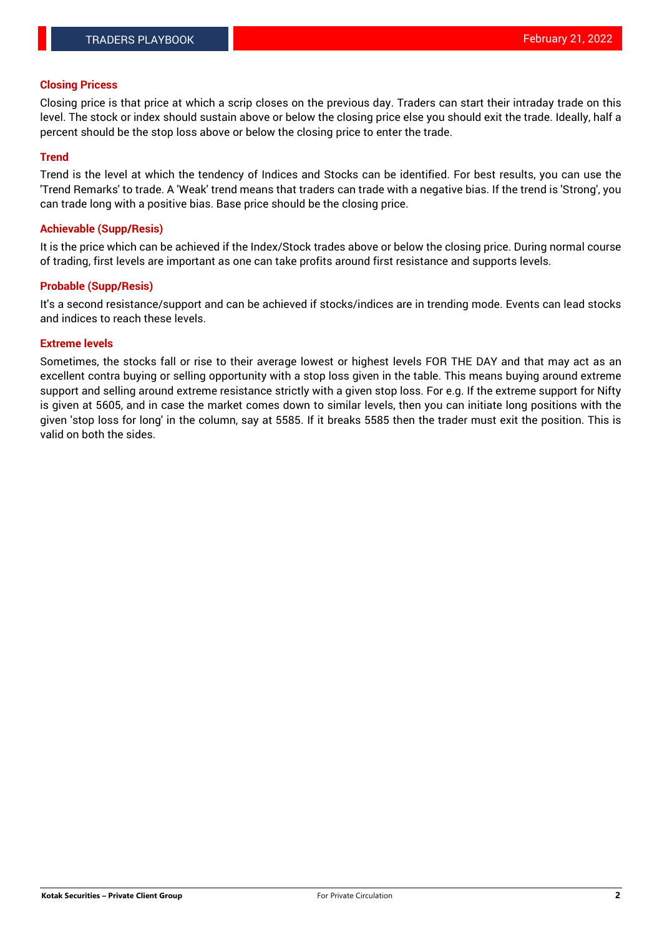## **Closing Pricess**

Closing price is that price at which a scrip closes on the previous day. Traders can start their intraday trade on this level. The stock or index should sustain above or below the closing price else you should exit the trade. Ideally, half a percent should be the stop loss above or below the closing price to enter the trade.

## **Trend**

Trend is the level at which the tendency of Indices and Stocks can be identified. For best results, you can use the 'Trend Remarks' to trade. A 'Weak' trend means that traders can trade with a negative bias. If the trend is 'Strong', you can trade long with a positive bias. Base price should be the closing price.

#### **Achievable (Supp/Resis)**

It is the price which can be achieved if the Index/Stock trades above or below the closing price. During normal course of trading, first levels are important as one can take profits around first resistance and supports levels.

## **Probable (Supp/Resis)**

It's a second resistance/support and can be achieved if stocks/indices are in trending mode. Events can lead stocks and indices to reach these levels.

#### **Extreme levels**

Sometimes, the stocks fall or rise to their average lowest or highest levels FOR THE DAY and that may act as an excellent contra buying or selling opportunity with a stop loss given in the table. This means buying around extreme support and selling around extreme resistance strictly with a given stop loss. For e.g. If the extreme support for Nifty is given at 5605, and in case the market comes down to similar levels, then you can initiate long positions with the given 'stop loss for long' in the column, say at 5585. If it breaks 5585 then the trader must exit the position. This is valid on both the sides.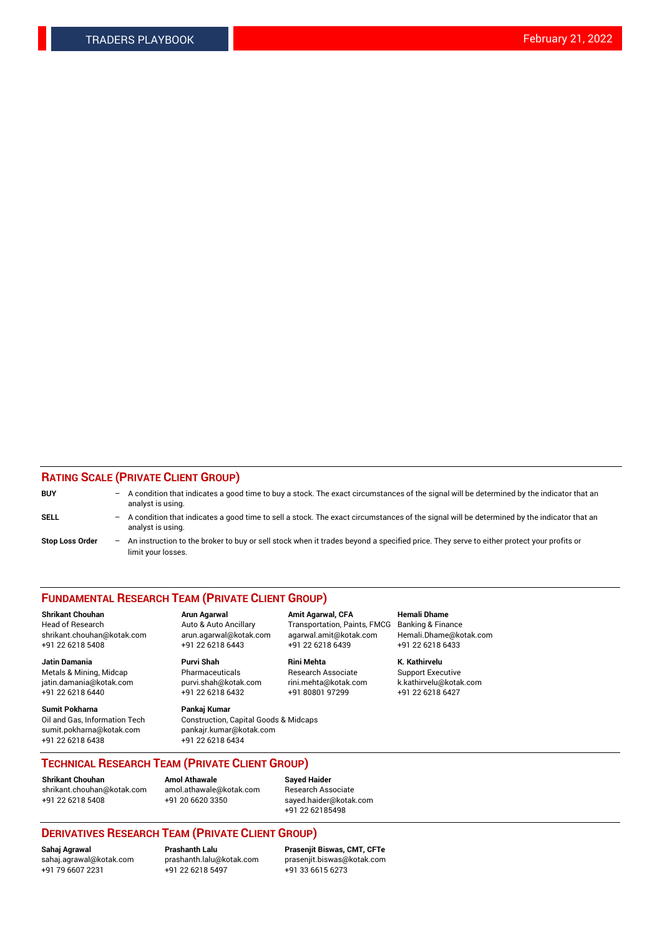## **RATING SCALE (PRIVATE CLIENT GROUP)**

| <b>BUY</b>             | $\qquad \qquad -$ | A condition that indicates a good time to buy a stock. The exact circumstances of the signal will be determined by the indicator that an<br>analyst is using.  |
|------------------------|-------------------|----------------------------------------------------------------------------------------------------------------------------------------------------------------|
| SELL                   | $-$               | A condition that indicates a good time to sell a stock. The exact circumstances of the signal will be determined by the indicator that an<br>analyst is using. |
| <b>Stop Loss Order</b> | $\qquad \qquad -$ | An instruction to the broker to buy or sell stock when it trades beyond a specified price. They serve to either protect your profits or<br>limit your losses.  |

#### **FUNDAMENTAL RESEARCH TEAM (PRIVATE CLIENT GROUP)**

**Jatin Damania Purvi Shah Rini Mehta K. Kathirvelu** Metals & Mining, Midcap **Pharmaceuticals** Research Associate Support Executive jatin.damania@kotak.com [purvi.shah@kotak.com](mailto:purvi.shah@kotak.com) rini.mehta@kotak.com [k.kathirvelu@kotak.com](mailto:k.kathirvelu@kotak.com)  $+91$  22 6218 6440  $+91$  22 6218 6432

**Sumit Pokharna Pankaj Kumar** sumit.pokharna@kotak.com pankajr.kumar@kotak.com +91 22 6218 6438 +91 22 6218 6434

**Shrikant Chouhan Arun Agarwal Amit Agarwal, CFA Hemali Dhame**

Oil and Gas, Information Tech Construction, Capital Goods & Midcaps

Head of Research Auto & Auto Ancillary Transportation, Paints, FMCG Banking & Finance shrikant.chouhan@kotak.com arun.agarwal@kotak.com agarwal.amit@kotak.com Hemali.Dhame@kotak.com +91 22 6218 5408 +91 22 6218 6443 +91 22 6218 6439 +91 22 6218 6433

**TECHNICAL RESEARCH TEAM (PRIVATE CLIENT GROUP)**

**Shrikant Chouhan Amol Athawale Sayed Haider** [shrikant.chouhan@kotak.com](mailto:shrikant.chouhan@kotak.com) [amol.athawale@kotak.com](mailto:amol.athawale@kotak.com) Research Associate +91 22 6218 5408 +91 20 6620 3350 [sayed.haider@kotak.com](mailto:sayed.haider@kotak.com)

+91 22 62185498

# **DERIVATIVES RESEARCH TEAM (PRIVATE CLIENT GROUP)**

 $+91$  22 6218 5497

**Sahaj Agrawal Prashanth Lalu Prasenjit Biswas, CMT, CFTe** [sahaj.agrawal@kotak.com](mailto:sahaj.agrawal@kotak.com) [prashanth.lalu@kotak.com](mailto:prashanth.lalu@kotak.com) [prasenjit.biswas@kotak.com](mailto:prasenjit.biswas@kotak.com)